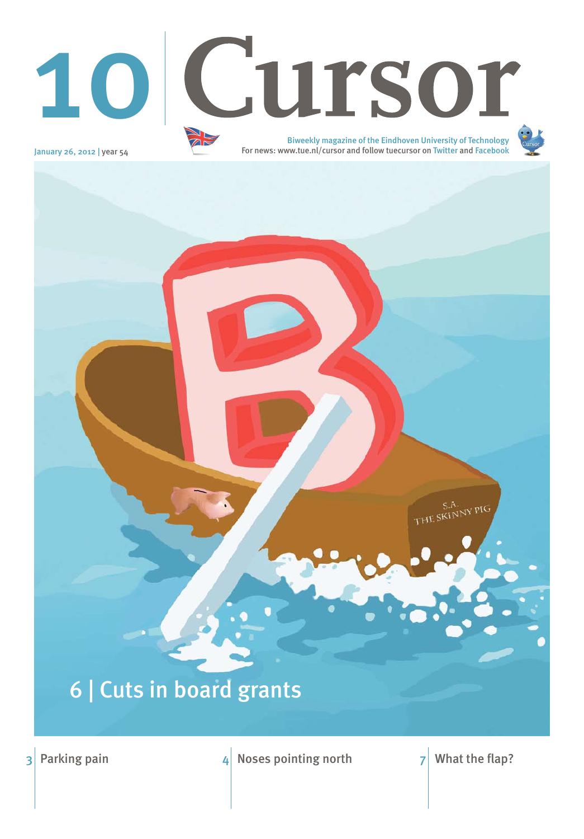# 6 | Cuts in board grants

3 Parking pain  $\frac{4}{4}$  Noses pointing north  $\frac{7}{4}$  What the flap?



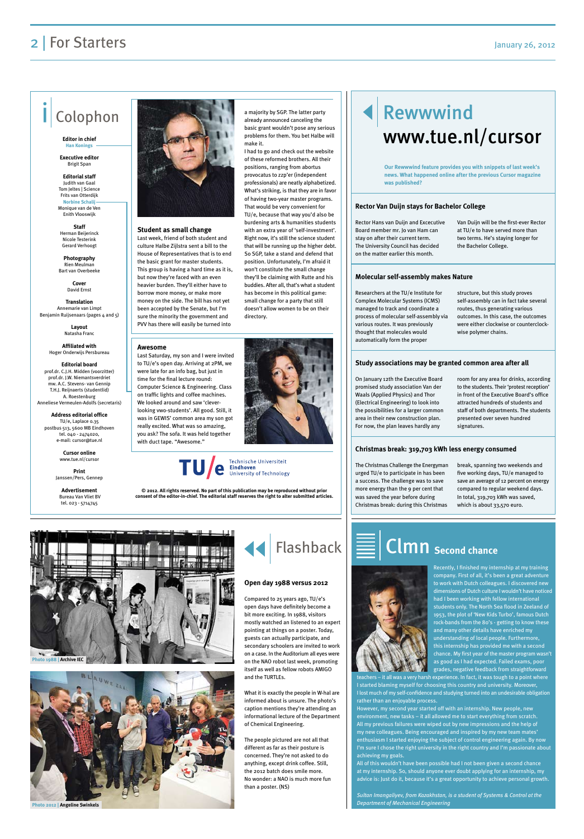**Student as small change** Last week, friend of both student and culture Halbe Zijlstra sent a bill to the House of Representatives that is to end the basic grant for master students. This group is having a hard time as it is, but now they're faced with an even heavier burden. They'll either have to borrow more money, or make more money on the side. The bill has not yet been accepted by the Senate, but I'm sure the minority the government and PVV has there will easily be turned into



**Translation** Annemarie van Limpt Benjamin Ruijsenaars (pages 4 and 5)

I had to go and check out the website of these reformed brothers. All their positions, ranging from abortus provocatus to zzp'er (independent professionals) are neatly alphabetized. What's striking, is that they are in favor of having two-year master programs. That would be very convenient for TU/e, because that way you'd also be burdening arts & humanities students with an extra year of 'self-investment'. Right now, it's still the science student that will be running up the higher debt. So SGP, take a stand and defend that position. Unfortunately, I'm afraid it won't constitute the small change they'll be claiming with Rutte and his buddies. After all, that's what a student has become in this political game: small change for a party that still doesn't allow women to be on their directory.



Technische Universiteit **Eindhoven**<br>University of Technology

## Rewwwind www.tue.nl/cursor

#### **2** | For Starters January 26, 2012

### Colophon

**Editor in chief Han Konings**

**Executive editor**  Brigit Span

**Editorial staff** Judith van Gaal Tom Jeltes | Science Frits van Otterdijk **Norbine Schali** Monique van de Ven

Enith Vlooswijk **Staff** 

Herman Beijerinck Nicole Testerink Gerard Verhoogt

**Photography**  Rien Meulman Bart van Overbeeke

> **Cover** David Ernst

**Layout** Natasha Franc

**Affiliated with**  Hoger Onderwijs Persbureau

**Editorial board** prof.dr. C.J.H. Midden (voorzitter) prof.dr. J.W. Niemantsverdriet mw. A.C. Stevens- van Gennin T.H.J. Reijnaerts (studentlid) A. Roestenburg Anneliese Vermeulen-Adolfs (secretaris)

**Address editorial office** TU/e, Laplace 0.35 postbus 513, 5600 MB Eindhoven tel. 040 - 2474020, e-mail: cursor@tue.nl

> **Cursor online** www.tue.nl/cursor

**Print** Janssen/Pers, Gennep

**Advertisement** Bureau Van Vliet BV tel. 023 - 5714745



**© 2012. All rights reserved. No part of this publication may be reproduced without prior** 

**consent of the editor-in-chief. The editorial staff reserves the right to alter submitted articles.**



Rector Hans van Duijn and Excecutive Board member mr. Jo van Ham can stay on after their current term. The University Council has decided on the matter earlier this month.

Van Duijn will be the first-ever Rector at TU/e to have served more than two terms. He's staying longer for the Bachelor College.

Researchers at the TU/e Institute for Complex Molecular Systems (ICMS) managed to track and coordinate a process of molecular self-assembly via various routes. It was previously thought that molecules would automatically form the proper

structure, but this study proves self-assembly can in fact take several routes, thus generating various outcomes. In this case, the outcomes were either clockwise or counterclockwise polymer chains.

On January 12th the Executive Board promised study association Van der Waals (Applied Physics) and Thor (Electrical Engineering) to look into the possibilities for a larger common area in their new construction plan. For now, the plan leaves hardly any

secondary schoolers are invited to work on a case. In the Auditorium all eyes were on the NAO robot last week, promoting itself as well as fellow robots AMIGO and the TURTLFs

room for any area for drinks, according to the students. Their 'protest reception' in front of the Executive Board's office attracted hundreds of students and staff of both departments. The students presented over seven hundred signatures.

The Christmas Challenge the Energyman urged TU/e to participate in has been a success. The challenge was to save more energy than the 9 per cent that was saved the year before during Christmas break: during this Christmas

break, spanning two weekends and five working days, TU/e managed to save an average of 12 percent on energy compared to regular weekend days. In total, 319,703 kWh was saved, which is about 33,570 euro.

#### **Rector Van Duijn stays for Bachelor College**

#### **Molecular self-assembly makes Nature**

#### **Study associations may be granted common area after all**

#### **Christmas break: 319,703 kWh less energy consumed**

**Our Rewwwind feature provides you with snippets of last week's news. What happened online after the previous Cursor magazine was published?**

#### **Awesome**

Last Saturday, my son and I were invited to TU/e's open day. Arriving at 2PM, we were late for an info bag, but just in time for the final lecture round: Computer Science & Engineering. Class on traffic lights and coffee machines. We looked around and saw 'cleverlooking vwo-students'. All good. Still, it was in GEWIS' common area my son got really excited. What was so amazing, you ask? The sofa. It was held together with duct tape. "Awesome."



Recently, I finished my internship at my training company. First of all, it's been a great adventure to work with Dutch colleagues. I discovered new dimensions of Dutch culture I wouldn't have noticed had I been working with fellow international students only. The North Sea flood in Zeeland of 1953, the plot of 'New Kids Turbo', famous Dutch rock-bands from the 80's - getting to know these and many other details have enriched my understanding of local people. Furthermore,

this internship has provided me with a second chance. My first year of the master program wasn't as good as I had expected. Failed exams, poor grades, negative feedback from straightforward

teachers – it all was a very harsh experience. In fact, it was tough to a point where I started blaming myself for choosing this country and university. Moreover, I lost much of my self-confidence and studying turned into an undesirable obligation rather than an enjoyable process.

However, my second year started off with an internship. New people, new environment, new tasks – it all allowed me to start everything from scratch. All my previous failures were wiped out by new impressions and the help of my new colleagues. Being encouraged and inspired by my new team mates' enthusiasm I started enjoying the subject of control engineering again. By now I'm sure I chose the right university in the right country and I'm passionate about achieving my goals.

All of this wouldn't have been possible had I not been given a second chance at my internship. So, should anyone ever doubt applying for an internship, my advice is: Just do it, because it's a great opportunity to achieve personal growth.

*Sultan Imangaliyev, from Kazakhstan, is a student of Systems & Control at the Department of Mechanical Engineering*

# Clmn **Second chance**

Compared to 25 years ago, TU/e's open days have definitely become a bit more exciting. In 1988, visitors mostly watched an listened to an expert pointing at things on a poster. Today, guests can actually participate, and

What it is exactly the people in W-hal are informed about is unsure. The photo's caption mentions they're attending an informational lecture of the Department of Chemical Engineering.

The people pictured are not all that different as far as their posture is concerned. They're not asked to do anything, except drink coffee. Still, the 2012 batch does smile more. No wonder: a NAO is much more fun than a poster. (NS)



#### **Open day 1988 versus 2012**





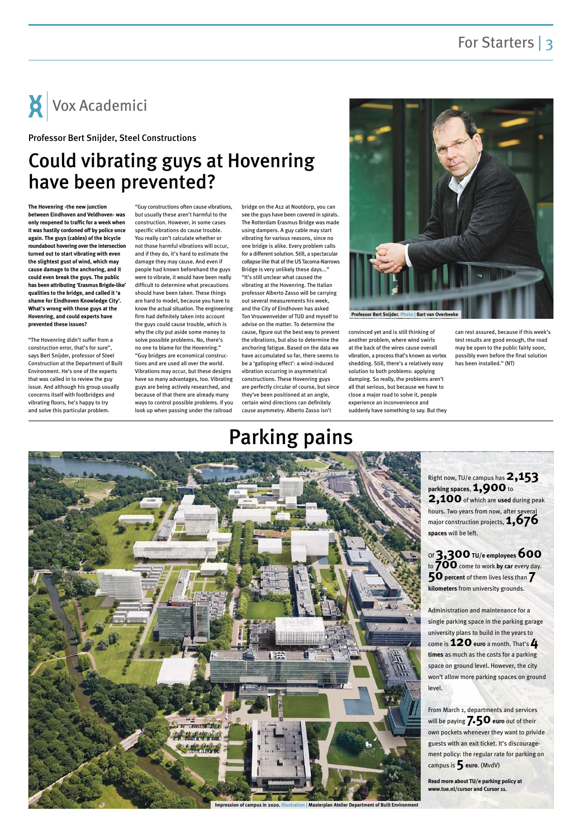### Could vibrating guys at Hovenring have been prevented?

**The Hovenring -the new junction between Eindhoven and Veldhoven- was only reopened to traffic for a week when it was hastily cordoned off by police once again. The guys (cables) of the bicycle roundabout hovering over the intersection turned out to start vibrating with even the slightest gust of wind, which may cause damage to the anchoring, and it could even break the guys. The public has been attributing 'Erasmus Brigde-like' qualities to the bridge, and called it 'a shame for Eindhoven Knowledge City'. What's wrong with those guys at the Hovenring, and could experts have prevented these issues?**

"The Hovenring didn't suffer from a construction error, that's for sure", says Bert Snijder, professor of Steel Construction at the Department of Built Environment. He's one of the experts that was called in to review the guy issue. And although his group usually concerns itself with footbridges and vibrating floors, he's happy to try and solve this particular problem.

"Guy constructions often cause vibrations, but usually these aren't harmful to the construction. However, in some cases specific vibrations do cause trouble. You really can't calculate whether or not those harmful vibrations will occur, and if they do, it's hard to estimate the damage they may cause. And even if people had known beforehand the guys were to vibrate, it would have been really difficult to determine what precautions should have been taken. These things are hard to model, because you have to know the actual situation. The engineering firm had definitely taken into account the guys could cause trouble, which is why the city put aside some money to solve possible problems. No, there's no one to blame for the Hovenring." "Guy bridges are economical constructions and are used all over the world. Vibrations may occur, but these designs have so many advantages, too. Vibrating guys are being actively researched, and because of that there are already many ways to control possible problems. If you look up when passing under the railroad

> From March 1, departments and services will be paying **7.50** euro out of their own pockets whenever they want to privide guests with an exit ticket. It's discouragement policy: the regular rate for parking on campus is **5** euro. (MvdV)

bridge on the A12 at Nootdorp, you can see the guys have been covered in spirals. The Rotterdam Erasmus Bridge was made using dampers. A guy cable may start vibrating for various reasons, since no one bridge is alike. Every problem calls for a different solution. Still, a spectacular collapse like that of the US Tacoma-Narrows Bridge is very unlikely these days..." "It's still unclear what caused the vibrating at the Hovenring. The Italian professor Alberto Zasso will be carrying out several measurements his week, and the City of Eindhoven has asked Ton Vrouwenvelder of TUD and myself to advise on the matter. To determine the cause, figure out the best way to prevent the vibrations, but also to determine the anchoring fatigue. Based on the data we have accumulated so far, there seems to be a 'galloping effect': a wind-induced vibration occurring in asymmetrical constructions. These Hovenring guys are perfectly circular of course, but since they've been positioned at an angle, certain wind directions can definitely cause asymmetry. Alberto Zasso isn't

convinced yet and is still thinking of another problem, where wind swirls at the back of the wires cause overall vibration, a process that's known as vortex shedding. Still, there's a relatively easy solution to both problems: applying damping. So really, the problems aren't all that serious, but because we have to close a major road to solve it, people experience an inconvenience and suddenly have something to say. But they

can rest assured, because if this week's test results are good enough, the road may be open to the public fairly soon, possibly even before the final solution has been installed." (NT)

Vox Academici

#### Professor Bert Snijder, Steel Constructions



# Parking pains



Right now, TU/e campus has **2,153 parking spaces**, **1,900** to **2,100** of which are **used** during peak hours. Two years from now, after several major construction projects, **1,676 spaces** will be left.

Of **3,300TU/e employees600** to **700** come to work **by car** every day. **50** percent of them lives less than **7 kilometers** from university grounds.

Administration and maintenance for a single parking space in the parking garage university plans to build in the years to come is **120euro** a month. That's **4 times** as much as the costs for a parking space on ground level. However, the city won't allow more parking spaces on ground level.

**Read more about TU/e parking policy at www.tue.nl/cursor and Cursor 11.**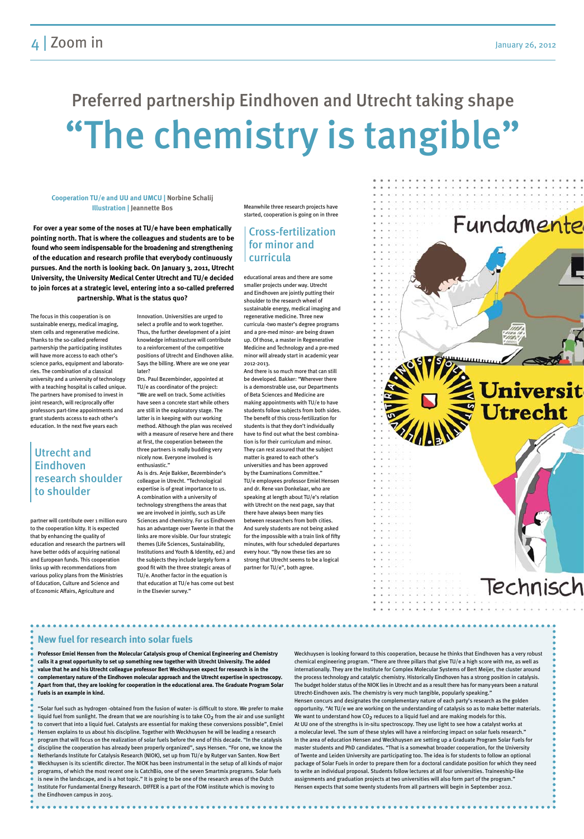# "The chemistry is tangible" Preferred partnership Eindhoven and Utrecht taking shape

The focus in this cooperation is on sustainable energy, medical imaging, stem cells and regenerative medicine. Thanks to the so-called preferred partnership the participating institutes will have more access to each other's science parks, equipment and laboratories. The combination of a classical university and a university of technology with a teaching hospital is called unique. The partners have promised to invest in joint research, will reciprocally offer professors part-time appointments and grant students access to each other's education. In the next five years each

partner will contribute over 1 million euro to the cooperation kitty. It is expected that by enhancing the quality of education and research the partners will have better odds of acquiring national and European funds. This cooperation links up with recommendations from various policy plans from the Ministries of Education, Culture and Science and of Economic Affairs, Agriculture and

Innovation. Universities are urged to select a profile and to work together. Thus, the further development of a joint knowledge infrastructure will contribute to a reinforcement of the competitive positions of Utrecht and Eindhoven alike. Says the billing. Where are we one year later?

Drs. Paul Bezembinder, appointed at TU/e as coordinator of the project: "We are well on track. Some activities have seen a concrete start while others are still in the exploratory stage. The latter is in keeping with our working method. Although the plan was received with a measure of reserve here and there at first, the cooperation between the three partners is really budding very nicely now. Everyone involved is enthusiastic."

As is drs. Anje Bakker, Bezembinder's colleague in Utrecht. "Technological expertise is of great importance to us. A combination with a university of technology strengthens the areas that we are involved in jointly, such as Life Sciences and chemistry. For us Eindhoven has an advantage over Twente in that the links are more visible. Our four strategic themes (Life Sciences, Sustainability, Institutions and Youth & Identity, ed.) and the subjects they include largely form a good fit with the three strategic areas of TU/e. Another factor in the equation is that education at TU/e has come out best in the Elsevier survey."

Meanwhile three research projects have started, cooperation is going on in three

educational areas and there are some smaller projects under way. Utrecht and Eindhoven are jointly putting their shoulder to the research wheel of sustainable energy, medical imaging and regenerative medicine. Three new curricula -two master's degree programs and a pre-med minor- are being drawn up. Of those, a master in Regenerative Medicine and Technology and a pre-med minor will already start in academic year 2012-2013.

And there is so much more that can still be developed. Bakker: "Wherever there is a demonstrable use, our Departments of Beta Sciences and Medicine are making appointments with TU/e to have students follow subjects from both sides. The benefit of this cross-fertilization for students is that they don't individually have to find out what the best combination is for their curriculum and minor. They can rest assured that the subject matter is geared to each other's universities and has been approved by the Examinations Committee." TU/e employees professor Emiel Hensen and dr. Rene van Donkelaar, who are speaking at length about TU/e's relation with Utrecht on the next page, say that there have always been many ties between researchers from both cities. And surely students are not being asked for the impossible with a train link of fifty minutes, with four scheduled departures every hour. "By now these ties are so strong that Utrecht seems to be a logical partner for TU/e", both agree.



**Professor Emiel Hensen from the Molecular Catalysis group of Chemical Engineering and Chemistry calls it a great opportunity to set up something new together with Utrecht University. The added value that he and his Utrecht colleague professor Bert Weckhuysen expect for research is in the complementary nature of the Eindhoven molecular approach and the Utrecht expertise in spectroscopy. Apart from that, they are looking for cooperation in the educational area. The Graduate Program Solar Fuels is an example in kind.**

"Solar fuel such as hydrogen -obtained from the fusion of water- is difficult to store. We prefer to make liquid fuel from sunlight. The dream that we are nourishing is to take CO<sub>2</sub> from the air and use sunlight to convert that into a liquid fuel. Catalysts are essential for making these conversions possible", Emiel Hensen explains to us about his discipline. Together with Weckhuysen he will be leading a research program that will focus on the realization of solar fuels before the end of this decade. "In the catalysis discipline the cooperation has already been properly organized", says Hensen. "For one, we know the Netherlands Institute for Catalysis Research (NIOK), set up from TU/e by Rutger van Santen. Now Bert Weckhuysen is its scientific director. The NIOK has been instrumental in the setup of all kinds of major programs, of which the most recent one is CatchBio, one of the seven Smartmix programs. Solar fuels is new in the landscape, and is a hot topic." It is going to be one of the research areas of the Dutch Institute For Fundamental Energy Research. DIFFER is a part of the FOM institute which is moving to the Eindhoven campus in 2015.

Weckhuysen is looking forward to this cooperation, because he thinks that Eindhoven has a very robust chemical engineering program. "There are three pillars that give TU/e a high score with me, as well as internationally. They are the Institute for Complex Molecular Systems of Bert Meijer, the cluster around the process technology and catalytic chemistry. Historically Eindhoven has a strong position in catalysis. The budget holder status of the NIOK lies in Utrecht and as a result there has for many years been a natural Utrecht-Eindhoven axis. The chemistry is very much tangible, popularly speaking." Hensen concurs and designates the complementary nature of each party's research as the golden opportunity. "At TU/e we are working on the understanding of catalysis so as to make better materials. We want to understand how CO<sub>2</sub> reduces to a liquid fuel and are making models for this. At UU one of the strengths is in-situ spectroscopy. They use light to see how a catalyst works at a molecular level. The sum of these styles will have a reinforcing impact on solar fuels research." In the area of education Hensen and Weckhuysen are setting up a Graduate Program Solar Fuels for master students and PhD candidates. "That is a somewhat broader cooperation, for the University of Twente and Leiden University are participating too. The idea is for students to follow an optional package of Solar Fuels in order to prepare them for a doctoral candidate position for which they need to write an individual proposal. Students follow lectures at all four universities. Traineeship-like assignments and graduation projects at two universities will also form part of the program." Hensen expects that some twenty students from all partners will begin in September 2012.

**New fuel for research into solar fuels**

**Cooperation TU/e and UU and UMCU | Norbine Schalij Illustration | Jeannette Bos**

**For over a year some of the noses at TU/e have been emphatically pointing north. That is where the colleagues and students are to be found who seem indispensable for the broadening and strengthening of the education and research profile that everybody continuously pursues. And the north is looking back. On January 3, 2011, Utrecht University, the University Medical Center Utrecht and TU/e decided to join forces at a strategic level, entering into a so-called preferred partnership. What is the status quo?**

#### Cross-fertilization for minor and curricula

#### Utrecht and Eindhoven research shoulder to shoulder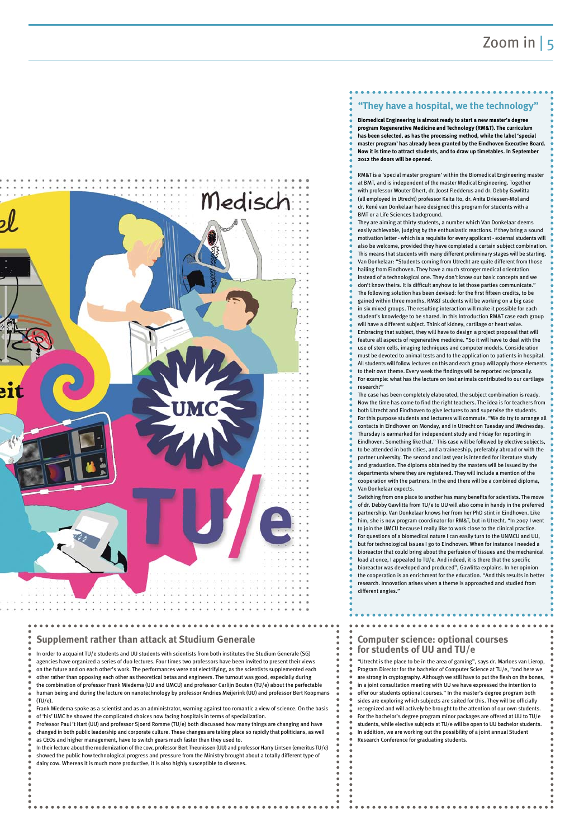"Utrecht is the place to be in the area of gaming", says dr. Marloes van Lierop, Program Director for the bachelor of Computer Science at TU/e, "and here we are strong in cryptography. Although we still have to put the flesh on the bones, in a joint consultation meeting with UU we have expressed the intention to offer our students optional courses." In the master's degree program both sides are exploring which subjects are suited for this. They will be officially recognized and will actively be brought to the attention of our own students. For the bachelor's degree program minor packages are offered at UU to TU/e students, while elective subjects at TU/e will be open to UU bachelor students. In addition, we are working out the possibility of a joint annual Student Research Conference for graduating students.

In order to acquaint TU/e students and UU students with scientists from both institutes the Studium Generale (SG)

agencies have organized a series of duo lectures. Four times two professors have been invited to present their views

on the future and on each other's work. The performances were not electrifying, as the scientists supplemented each

- other rather than opposing each other as theoretical betas and engineers. The turnout was good, especially during
- the combination of professor Frank Miedema (UU and UMCU) and professor Carlijn Bouten (TU/e) about the perfectable
- human being and during the lecture on nanotechnology by professor Andries Meijerink (UU) and professor Bert Koopmans  $(TU/e)$
- Frank Miedema spoke as a scientist and as an administrator, warning against too romantic a view of science. On the basis
- of 'his' UMC he showed the complicated choices now facing hospitals in terms of specialization.
- Professor Paul 't Hart (UU) and professor Sjoerd Romme (TU/e) both discussed how many things are changing and have
- changed in both public leadership and corporate culture. These changes are taking place so rapidly that politicians, as well
- as CEOs and higher management, have to switch gears much faster than they used to.
- In their lecture about the modernization of the cow, professor Bert Theunissen (UU) and professor Harry Lintsen (emeritus TU/e) showed the public how technological progress and pressure from the Ministry brought about a totally different type of

dairy cow. Whereas it is much more productive, it is also highly susceptible to diseases.

**Biomedical Engineering is almost ready to start a new master's degree program Regenerative Medicine and Technology (RM&T). The curriculum has been selected, as has the processing method, while the label 'special master program' has already been granted by the Eindhoven Executive Board. Now it is time to attract students, and to draw up timetables. In September 2012 the doors will be opened.**

RM&T is a 'special master program' within the Biomedical Engineering master at BMT, and is independent of the master Medical Engineering. Together with professor Wouter Dhert, dr. Joost Fledderus and dr. Debby Gawlitta (all employed in Utrecht) professor Keita Ito, dr. Anita Driessen-Mol and dr. René van Donkelaar have designed this program for students with a BMT or a Life Sciences background.

They are aiming at thirty students, a number which Van Donkelaar deems easily achievable, judging by the enthusiastic reactions. If they bring a sound motivation letter - which is a requisite for every applicant - external students will also be welcome, provided they have completed a certain subject combination. This means that students with many different preliminary stages will be starting. Van Donkelaar: "Students coming from Utrecht are quite different from those hailing from Eindhoven. They have a much stronger medical orientation instead of a technological one. They don't know our basic concepts and we don't know theirs. It is difficult anyhow to let those parties communicate." The following solution has been devised: for the first fifteen credits, to be gained within three months, RM&T students will be working on a big case in six mixed groups. The resulting interaction will make it possible for each student's knowledge to be shared. In this Introduction RM&T case each group will have a different subject. Think of kidney, cartilage or heart valve. Embracing that subject, they will have to design a project proposal that will feature all aspects of regenerative medicine. "So it will have to deal with the use of stem cells, imaging techniques and computer models. Consideration must be devoted to animal tests and to the application to patients in hospital. All students will follow lectures on this and each group will apply those elements to their own theme. Every week the findings will be reported reciprocally. For example: what has the lecture on test animals contributed to our cartilage research?"

The case has been completely elaborated, the subject combination is ready. Now the time has come to find the right teachers. The idea is for teachers from both Utrecht and Eindhoven to give lectures to and supervise the students. For this purpose students and lecturers will commute. "We do try to arrange all contacts in Eindhoven on Monday, and in Utrecht on Tuesday and Wednesday. Thursday is earmarked for independent study and Friday for reporting in Eindhoven. Something like that." This case will be followed by elective subjects, to be attended in both cities, and a traineeship, preferably abroad or with the partner university. The second and last year is intended for literature study and graduation. The diploma obtained by the masters will be issued by the departments where they are registered. They will include a mention of the cooperation with the partners. In the end there will be a combined diploma, Van Donkelaar expects.

Switching from one place to another has many benefits for scientists. The move of dr. Debby Gawlitta from TU/e to UU will also come in handy in the preferred partnership. Van Donkelaar knows her from her PhD stint in Eindhoven. Like him, she is now program coordinator for RM&T, but in Utrecht. "In 2007 I went to join the UMCU because I really like to work close to the clinical practice. For questions of a biomedical nature I can easily turn to the UNMCU and UU, but for technological issues I go to Eindhoven. When for instance I needed a bioreactor that could bring about the perfusion of tissues and the mechanical load at once, I appealed to TU/e. And indeed, it is there that the specific bioreactor was developed and produced", Gawlitta explains. In her opinion the cooperation is an enrichment for the education. "And this results in better research. Innovation arises when a theme is approached and studied from different angles."

**attack at Studium Generale** 

#### **for students of UU and TU/e**



#### **"They have a hospital, we the technology"**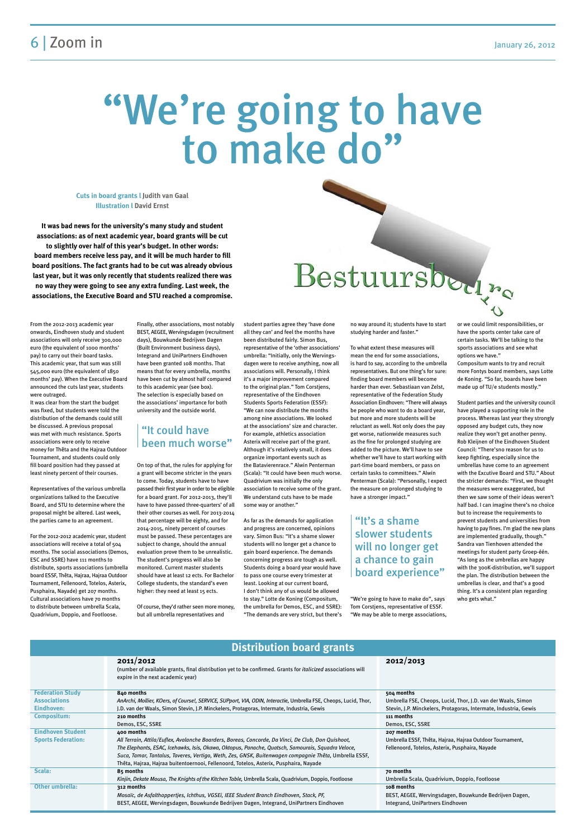#### 6 | Zoom in January 26, 2012

# "We're going to have<br>to make do"

From the 2012-2013 academic year onwards, Eindhoven study and student associations will only receive 300,000 euro (the equivalent of 1000 months' pay) to carry out their board tasks. This academic year, that sum was still 545,000 euro (the equivalent of 1850 months' pay). When the Executive Board announced the cuts last year, students were outraged.

It was clear from the start the budget was fixed, but students were told the distribution of the demands could still be discussed. A previous proposal was met with much resistance. Sports associations were only to receive money for Thêta and the Hajraa Outdoor Tournament, and students could only fill board position had they passed at least ninety percent of their courses.

Representatives of the various umbrella organizations talked to the Executive Board, and STU to determine where the proposal might be altered. Last week, the parties came to an agreement.

For the 2012-2012 academic year, student associations will receive a total of 504 months. The social associations (Demos, ESC and SSRE) have 111 months to distribute, sports associations (umbrella board ESSF, Thêta, Hajraa, Hajraa Outdoor Tournament, Fellenoord, Totelos, Asterix, Pusphaira, Nayade) get 207 months. Cultural associations have 70 months to distribute between umbrella Scala, Quadrivium, Doppio, and Footloose.

Finally, other associations, most notably BEST, AEGEE, Wervingsdagen (recruitment days), Bouwkunde Bedrijven Dagen (Built Environment business days), Integrand and UniPartners Eindhoven have been granted 108 months. That means that for every umbrella, months have been cut by almost half compared to this academic year (see box). The selection is especially based on the associations' importance for both university and the outside world.

On top of that, the rules for applying for a grant will become stricter in the years to come. Today, students have to have passed their first year in order to be eligible for a board grant. For 2012-2013, they'll have to have passed three-quarters' of all their other courses as well. For 2013-2014 that percentage will be eighty, and for 2014-2015, ninety percent of courses must be passed. These percentages are subject to change, should the annual evaluation prove them to be unrealistic. The student's progress will also be monitored. Current master students should have at least 12 ects. For Bachelor College students, the standard's even higher: they need at least 15 ects.

Of course, they'd rather seen more money, but all umbrella representatives and

student parties agree they 'have done all they can' and feel the months have been distributed fairly. Simon Bus, representative of the 'other associations' umbrella: "Initially, only the Wervingsdagen were to receive anything, now all associations will. Personally, I think it's a major improvement compared to the original plan." Tom Corstjens, representative of the Eindhoven Students Sports Federation (ESSF): "We can now distribute the months among nine associations. We looked at the associations' size and character. For example, athletics association Asterix will receive part of the grant. Although it's relatively small, it does organize important events such as the Batavierenrace." Alwin Penterman (Scala): "It could have been much worse. Quadrivium was initially the only association to receive some of the grant. We understand cuts have to be made some way or another."

As far as the demands for application and progress are concerned, opinions vary. Simon Bus: "It's a shame slower students will no longer get a chance to gain board experience. The demands concerning progress are tough as well. Students doing a board year would have to pass one course every trimester at least. Looking at our current board, I don't think any of us would be allowed to stay." Lotte de Koning (Compositum, the umbrella for Demos, ESC, and SSRE): "The demands are very strict, but there's

# Bestuursbedre

no way around it; students have to start studying harder and faster."

To what extent these measures will mean the end for some associations, is hard to say, according to the umbrella representatives. But one thing's for sure: finding board members will become harder than ever. Sebastiaan van Zelst, representative of the Federation Study Association Eindhoven: "There will always be people who want to do a board year, but more and more students will be reluctant as well. Not only does the pay get worse, nationwide measures such as the fine for prolonged studying are added to the picture. We'll have to see whether we'll have to start working with part-time board members, or pass on certain tasks to committees." Alwin Penterman (Scala): "Personally, I expect the measure on prolonged studying to have a stronger impact."

"We're going to have to make do", says Tom Corstjens, representative of ESSF. "We may be able to merge associations, or we could limit responsibilities, or have the sports center take care of certain tasks. We'll be talking to the sports associations and see what options we have."

Compositum wants to try and recruit more Fontys board members, says Lotte de Koning. "So far, boards have been made up of TU/e students mostly."

Student parties and the university council have played a supporting role in the process. Whereas last year they strongly opposed any budget cuts, they now realize they won't get another penny. Rob Kleijnen of the Eindhoven Student Council: "There'sno reason for us to keep fighting, especially since the umbrellas have come to an agreement with the Excutive Board and STU." About the stricter demands: "First, we thought the measures were exaggerated, but then we saw some of their ideas weren't half bad. I can imagine there's no choice but to increase the requirements to prevent students and universities from having to pay fines. I'm glad the new plans are implemented gradually, though." Sandra van Tienhoven attended the meetings for student party Groep-één. "As long as the umbrellas are happy with the 300K-distribution, we'll support the plan. The distribution between the umbrellas is clear, and that's a good thing. It's a consistent plan regarding who gets what."

#### "It could have been much worse"

#### "It's a shame slower students will no longer get a chance to gain board experience"

**Cuts in board grants l Judith van Gaal Illustration l David Ernst**

**It was bad news for the university's many study and student associations: as of next academic year, board grants will be cut to slightly over half of this year's budget. In other words: board members receive less pay, and it will be much harder to fill board positions. The fact grants had to be cut was already obvious last year, but it was only recently that students realized there was no way they were going to see any extra funding. Last week, the associations, the Executive Board and STU reached a compromise.**

#### **Distribution board grants**

|                           | 2011/2012<br>(number of available grants, final distribution yet to be confirmed. Grants for <i>italicized</i> associations will<br>expire in the next academic year) | 2012/2013                                                        |
|---------------------------|-----------------------------------------------------------------------------------------------------------------------------------------------------------------------|------------------------------------------------------------------|
| <b>Federation Study</b>   | 840 months                                                                                                                                                            | 504 months                                                       |
| <b>Associations</b>       | AnArchi, Mollier, KOers, of Course!, SERVICE, SUPport, VIA, ODIN, Interactie, Umbrella FSE, Cheops, Lucid, Thor,                                                      | Umbrella FSE, Cheops, Lucid, Thor, J.D. van der Waals, Simon     |
| Eindhoven:                | J.D. van der Waals, Simon Stevin, J.P. Minckelers, Protagoras, Intermate, Industria, Gewis                                                                            | Stevin, J.P. Minckelers, Protagoras, Intermate, Industria, Gewis |
| <b>Compositum:</b>        | 210 months                                                                                                                                                            | 111 months                                                       |
|                           | Demos, ESC, SSRE                                                                                                                                                      | Demos, ESC, SSRE                                                 |
| <b>Eindhoven Student</b>  | 400 months                                                                                                                                                            | 207 months                                                       |
| <b>Sports Federation:</b> | All Terrain, Attila/Euflex, Avalanche Boarders, Boreas, Concorde, Da Vinci, De Club, Don Quishoot,                                                                    | Umbrella ESSF, Thêta, Hajraa, Hajraa Outdoor Tournament,         |
|                           | The Elephants, ESAC, Icehawks, Isis, Okawa, Oktopus, Panache, Quatsch, Samourais, Squadra Veloce,                                                                     | Fellenoord, Totelos, Asterix, Pusphaira, Nayade                  |
|                           | Suca, Tamar, Tantalus, Taveres, Vertigo, Weth, Zes, GNSK, Buitenwagen compagnie Thêta, Umbrella ESSF,                                                                 |                                                                  |
|                           | Thêta, Hajraa, Hajraa buitentoernooi, Fellenoord, Totelos, Asterix, Pusphaira, Nayade                                                                                 |                                                                  |
| Scala:                    | 85 months                                                                                                                                                             | 70 months                                                        |
|                           | Kinjin, Dekate Mousa, The Knights of the Kitchen Table, Umbrella Scala, Quadrivium, Doppio, Footloose                                                                 | Umbrella Scala, Quadrivium, Doppio, Footloose                    |
| <b>Other umbrella:</b>    | 312 months                                                                                                                                                            | 108 months                                                       |
|                           | Mosaïc, de Asfalthappertjes, Ichthus, VGSEi, IEEE Student Branch Eindhoven, Stack, PF,                                                                                | BEST, AEGEE, Wervingsdagen, Bouwkunde Bedrijven Dagen,           |
|                           | BEST, AEGEE, Wervingsdagen, Bouwkunde Bedrijven Dagen, Integrand, UniPartners Eindhoven                                                                               | Integrand, UniPartners Eindhoven                                 |
|                           |                                                                                                                                                                       |                                                                  |